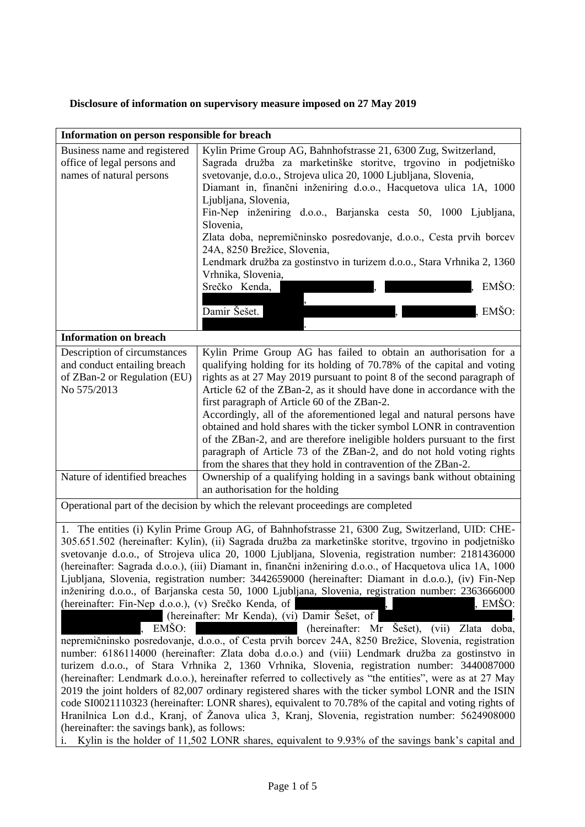## **Disclosure of information on supervisory measure imposed on 27 May 2019**

| Information on person responsible for breach                                                                                                                                                                                                                                                                                                                                                                                                                                                                                                                                                                                                                                                                                                                                                                                                                                                                                                                                                                                                                                                                                                                                                                                                                                                                                                                                                                                                                                                                                                                                                                                                                                                                                      |                                                                                                                                                                                                                                                                                                                                                                                                                                                                                                                                                                                                                                                                                                                           |
|-----------------------------------------------------------------------------------------------------------------------------------------------------------------------------------------------------------------------------------------------------------------------------------------------------------------------------------------------------------------------------------------------------------------------------------------------------------------------------------------------------------------------------------------------------------------------------------------------------------------------------------------------------------------------------------------------------------------------------------------------------------------------------------------------------------------------------------------------------------------------------------------------------------------------------------------------------------------------------------------------------------------------------------------------------------------------------------------------------------------------------------------------------------------------------------------------------------------------------------------------------------------------------------------------------------------------------------------------------------------------------------------------------------------------------------------------------------------------------------------------------------------------------------------------------------------------------------------------------------------------------------------------------------------------------------------------------------------------------------|---------------------------------------------------------------------------------------------------------------------------------------------------------------------------------------------------------------------------------------------------------------------------------------------------------------------------------------------------------------------------------------------------------------------------------------------------------------------------------------------------------------------------------------------------------------------------------------------------------------------------------------------------------------------------------------------------------------------------|
| Business name and registered<br>office of legal persons and<br>names of natural persons                                                                                                                                                                                                                                                                                                                                                                                                                                                                                                                                                                                                                                                                                                                                                                                                                                                                                                                                                                                                                                                                                                                                                                                                                                                                                                                                                                                                                                                                                                                                                                                                                                           | Kylin Prime Group AG, Bahnhofstrasse 21, 6300 Zug, Switzerland,<br>Sagrada družba za marketinške storitve, trgovino in podjetniško<br>svetovanje, d.o.o., Strojeva ulica 20, 1000 Ljubljana, Slovenia,<br>Diamant in, finančni inženiring d.o.o., Hacquetova ulica 1A, 1000<br>Ljubljana, Slovenia,<br>Fin-Nep inženiring d.o.o., Barjanska cesta 50, 1000 Ljubljana,<br>Slovenia,<br>Zlata doba, nepremičninsko posredovanje, d.o.o., Cesta prvih borcev<br>24A, 8250 Brežice, Slovenia,<br>Lendmark družba za gostinstvo in turizem d.o.o., Stara Vrhnika 2, 1360<br>Vrhnika, Slovenia,<br>EMŠO:<br>Srečko Kenda,<br>EMŠO:<br>Damir Šešet.                                                                              |
|                                                                                                                                                                                                                                                                                                                                                                                                                                                                                                                                                                                                                                                                                                                                                                                                                                                                                                                                                                                                                                                                                                                                                                                                                                                                                                                                                                                                                                                                                                                                                                                                                                                                                                                                   |                                                                                                                                                                                                                                                                                                                                                                                                                                                                                                                                                                                                                                                                                                                           |
| <b>Information on breach</b>                                                                                                                                                                                                                                                                                                                                                                                                                                                                                                                                                                                                                                                                                                                                                                                                                                                                                                                                                                                                                                                                                                                                                                                                                                                                                                                                                                                                                                                                                                                                                                                                                                                                                                      |                                                                                                                                                                                                                                                                                                                                                                                                                                                                                                                                                                                                                                                                                                                           |
| Description of circumstances<br>and conduct entailing breach<br>of ZBan-2 or Regulation (EU)<br>No 575/2013                                                                                                                                                                                                                                                                                                                                                                                                                                                                                                                                                                                                                                                                                                                                                                                                                                                                                                                                                                                                                                                                                                                                                                                                                                                                                                                                                                                                                                                                                                                                                                                                                       | Kylin Prime Group AG has failed to obtain an authorisation for a<br>qualifying holding for its holding of 70.78% of the capital and voting<br>rights as at 27 May 2019 pursuant to point 8 of the second paragraph of<br>Article 62 of the ZBan-2, as it should have done in accordance with the<br>first paragraph of Article 60 of the ZBan-2.<br>Accordingly, all of the aforementioned legal and natural persons have<br>obtained and hold shares with the ticker symbol LONR in contravention<br>of the ZBan-2, and are therefore ineligible holders pursuant to the first<br>paragraph of Article 73 of the ZBan-2, and do not hold voting rights<br>from the shares that they hold in contravention of the ZBan-2. |
| Nature of identified breaches                                                                                                                                                                                                                                                                                                                                                                                                                                                                                                                                                                                                                                                                                                                                                                                                                                                                                                                                                                                                                                                                                                                                                                                                                                                                                                                                                                                                                                                                                                                                                                                                                                                                                                     | Ownership of a qualifying holding in a savings bank without obtaining<br>an authorisation for the holding                                                                                                                                                                                                                                                                                                                                                                                                                                                                                                                                                                                                                 |
| Operational part of the decision by which the relevant proceedings are completed                                                                                                                                                                                                                                                                                                                                                                                                                                                                                                                                                                                                                                                                                                                                                                                                                                                                                                                                                                                                                                                                                                                                                                                                                                                                                                                                                                                                                                                                                                                                                                                                                                                  |                                                                                                                                                                                                                                                                                                                                                                                                                                                                                                                                                                                                                                                                                                                           |
| 1. The entities (i) Kylin Prime Group AG, of Bahnhofstrasse 21, 6300 Zug, Switzerland, UID: CHE-<br>305.651.502 (hereinafter: Kylin), (ii) Sagrada družba za marketinške storitve, trgovino in podjetniško<br>svetovanje d.o.o., of Strojeva ulica 20, 1000 Ljubljana, Slovenia, registration number: 2181436000<br>(hereinafter: Sagrada d.o.o.), (iii) Diamant in, finančni inženiring d.o.o., of Hacquetova ulica 1A, 1000<br>Ljubljana, Slovenia, registration number: 3442659000 (hereinafter: Diamant in d.o.o.), (iv) Fin-Nep<br>inženiring d.o.o., of Barjanska cesta 50, 1000 Ljubljana, Slovenia, registration number: 2363666000<br>, EMŠO:<br>(hereinafter: Fin-Nep d.o.o.), (v) Srečko Kenda, of<br>(hereinafter: Mr Kenda), (vi) Damir Šešet, of<br>EMŠO:<br>(hereinafter: Mr Šešet),<br>(vii)<br>Zlata doba,<br>nepremičninsko posredovanje, d.o.o., of Cesta prvih borcev 24A, 8250 Brežice, Slovenia, registration<br>number: 6186114000 (hereinafter: Zlata doba d.o.o.) and (viii) Lendmark družba za gostinstvo in<br>turizem d.o.o., of Stara Vrhnika 2, 1360 Vrhnika, Slovenia, registration number: 3440087000<br>(hereinafter: Lendmark d.o.o.), hereinafter referred to collectively as "the entities", were as at 27 May<br>2019 the joint holders of 82,007 ordinary registered shares with the ticker symbol LONR and the ISIN<br>code SI0021110323 (hereinafter: LONR shares), equivalent to 70.78% of the capital and voting rights of<br>Hranilnica Lon d.d., Kranj, of Žanova ulica 3, Kranj, Slovenia, registration number: 5624908000<br>(hereinafter: the savings bank), as follows:<br>Kylin is the holder of 11,502 LONR shares, equivalent to 9.93% of the savings bank's capital and<br>i. |                                                                                                                                                                                                                                                                                                                                                                                                                                                                                                                                                                                                                                                                                                                           |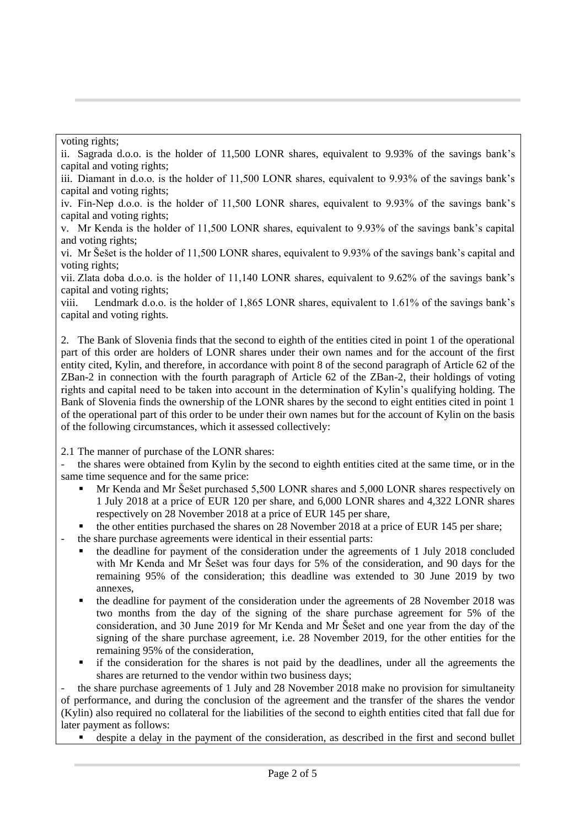voting rights;

ii. Sagrada d.o.o. is the holder of 11,500 LONR shares, equivalent to 9.93% of the savings bank's capital and voting rights;

iii. Diamant in d.o.o. is the holder of 11,500 LONR shares, equivalent to 9.93% of the savings bank's capital and voting rights;

iv. Fin-Nep d.o.o. is the holder of 11,500 LONR shares, equivalent to 9.93% of the savings bank's capital and voting rights;

v. Mr Kenda is the holder of 11,500 LONR shares, equivalent to 9.93% of the savings bank's capital and voting rights;

vi. Mr Šešet is the holder of 11,500 LONR shares, equivalent to 9.93% of the savings bank's capital and voting rights;

vii. Zlata doba d.o.o. is the holder of 11,140 LONR shares, equivalent to 9.62% of the savings bank's capital and voting rights;

viii. Lendmark d.o.o. is the holder of 1,865 LONR shares, equivalent to 1.61% of the savings bank's capital and voting rights.

2. The Bank of Slovenia finds that the second to eighth of the entities cited in point 1 of the operational part of this order are holders of LONR shares under their own names and for the account of the first entity cited, Kylin, and therefore, in accordance with point 8 of the second paragraph of Article 62 of the ZBan-2 in connection with the fourth paragraph of Article 62 of the ZBan-2, their holdings of voting rights and capital need to be taken into account in the determination of Kylin's qualifying holding. The Bank of Slovenia finds the ownership of the LONR shares by the second to eight entities cited in point 1 of the operational part of this order to be under their own names but for the account of Kylin on the basis of the following circumstances, which it assessed collectively:

2.1 The manner of purchase of the LONR shares:

the shares were obtained from Kylin by the second to eighth entities cited at the same time, or in the same time sequence and for the same price:

- Mr Kenda and Mr Šešet purchased 5,500 LONR shares and 5,000 LONR shares respectively on 1 July 2018 at a price of EUR 120 per share, and 6,000 LONR shares and 4,322 LONR shares respectively on 28 November 2018 at a price of EUR 145 per share,
- the other entities purchased the shares on 28 November 2018 at a price of EUR 145 per share;

the share purchase agreements were identical in their essential parts:

- the deadline for payment of the consideration under the agreements of 1 July 2018 concluded with Mr Kenda and Mr Šešet was four days for 5% of the consideration, and 90 days for the remaining 95% of the consideration; this deadline was extended to 30 June 2019 by two annexes,
- the deadline for payment of the consideration under the agreements of 28 November 2018 was two months from the day of the signing of the share purchase agreement for 5% of the consideration, and 30 June 2019 for Mr Kenda and Mr Šešet and one year from the day of the signing of the share purchase agreement, i.e. 28 November 2019, for the other entities for the remaining 95% of the consideration,
- if the consideration for the shares is not paid by the deadlines, under all the agreements the shares are returned to the vendor within two business days;

the share purchase agreements of 1 July and 28 November 2018 make no provision for simultaneity of performance, and during the conclusion of the agreement and the transfer of the shares the vendor (Kylin) also required no collateral for the liabilities of the second to eighth entities cited that fall due for later payment as follows:

despite a delay in the payment of the consideration, as described in the first and second bullet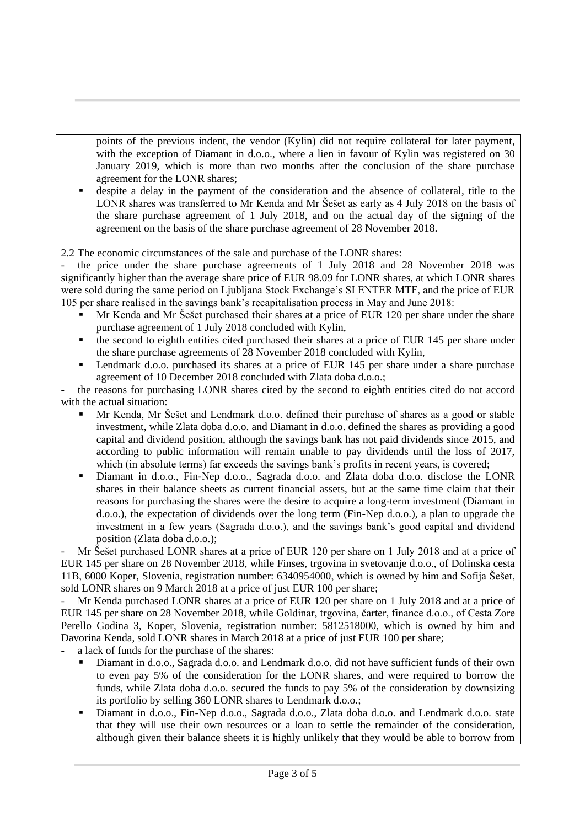points of the previous indent, the vendor (Kylin) did not require collateral for later payment, with the exception of Diamant in d.o.o., where a lien in favour of Kylin was registered on 30 January 2019, which is more than two months after the conclusion of the share purchase agreement for the LONR shares;

 despite a delay in the payment of the consideration and the absence of collateral, title to the LONR shares was transferred to Mr Kenda and Mr Šešet as early as 4 July 2018 on the basis of the share purchase agreement of 1 July 2018, and on the actual day of the signing of the agreement on the basis of the share purchase agreement of 28 November 2018.

2.2 The economic circumstances of the sale and purchase of the LONR shares:

the price under the share purchase agreements of 1 July 2018 and 28 November 2018 was significantly higher than the average share price of EUR 98.09 for LONR shares, at which LONR shares were sold during the same period on Ljubljana Stock Exchange's SI ENTER MTF, and the price of EUR 105 per share realised in the savings bank's recapitalisation process in May and June 2018:

- Mr Kenda and Mr Šešet purchased their shares at a price of EUR 120 per share under the share purchase agreement of 1 July 2018 concluded with Kylin,
- the second to eighth entities cited purchased their shares at a price of EUR 145 per share under the share purchase agreements of 28 November 2018 concluded with Kylin,
- Lendmark d.o.o. purchased its shares at a price of EUR 145 per share under a share purchase agreement of 10 December 2018 concluded with Zlata doba d.o.o.;

the reasons for purchasing LONR shares cited by the second to eighth entities cited do not accord with the actual situation:

- Mr Kenda, Mr Šešet and Lendmark d.o.o. defined their purchase of shares as a good or stable investment, while Zlata doba d.o.o. and Diamant in d.o.o. defined the shares as providing a good capital and dividend position, although the savings bank has not paid dividends since 2015, and according to public information will remain unable to pay dividends until the loss of 2017, which (in absolute terms) far exceeds the savings bank's profits in recent years, is covered;
- Diamant in d.o.o., Fin-Nep d.o.o., Sagrada d.o.o. and Zlata doba d.o.o. disclose the LONR shares in their balance sheets as current financial assets, but at the same time claim that their reasons for purchasing the shares were the desire to acquire a long-term investment (Diamant in d.o.o.), the expectation of dividends over the long term (Fin-Nep d.o.o.), a plan to upgrade the investment in a few years (Sagrada d.o.o.), and the savings bank's good capital and dividend position (Zlata doba d.o.o.);

Mr Šešet purchased LONR shares at a price of EUR 120 per share on 1 July 2018 and at a price of EUR 145 per share on 28 November 2018, while Finses, trgovina in svetovanje d.o.o., of Dolinska cesta 11B, 6000 Koper, Slovenia, registration number: 6340954000, which is owned by him and Sofija Šešet, sold LONR shares on 9 March 2018 at a price of just EUR 100 per share;

Mr Kenda purchased LONR shares at a price of EUR 120 per share on 1 July 2018 and at a price of EUR 145 per share on 28 November 2018, while Goldinar, trgovina, čarter, finance d.o.o., of Cesta Zore Perello Godina 3, Koper, Slovenia, registration number: 5812518000, which is owned by him and Davorina Kenda, sold LONR shares in March 2018 at a price of just EUR 100 per share;

- a lack of funds for the purchase of the shares:
	- Diamant in d.o.o., Sagrada d.o.o. and Lendmark d.o.o. did not have sufficient funds of their own to even pay 5% of the consideration for the LONR shares, and were required to borrow the funds, while Zlata doba d.o.o. secured the funds to pay 5% of the consideration by downsizing its portfolio by selling 360 LONR shares to Lendmark d.o.o.;
	- Diamant in d.o.o., Fin-Nep d.o.o., Sagrada d.o.o., Zlata doba d.o.o. and Lendmark d.o.o. state that they will use their own resources or a loan to settle the remainder of the consideration, although given their balance sheets it is highly unlikely that they would be able to borrow from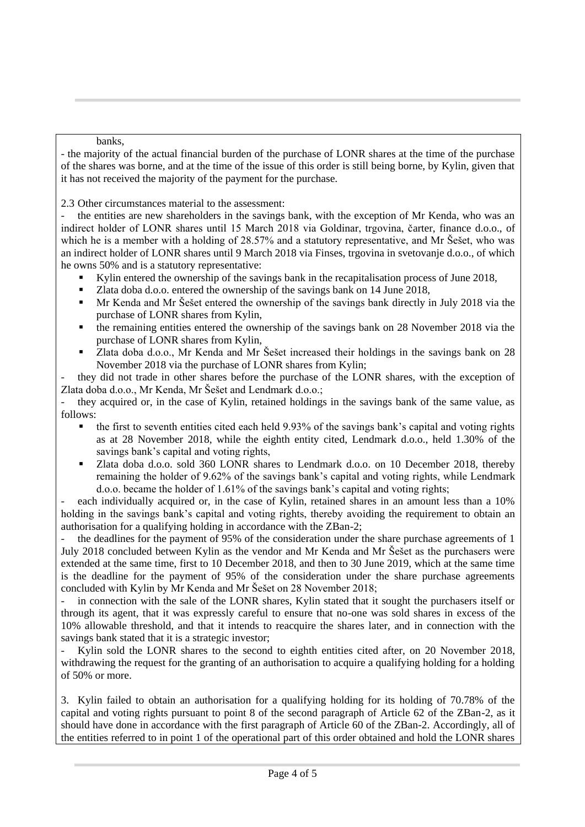banks,

- the majority of the actual financial burden of the purchase of LONR shares at the time of the purchase of the shares was borne, and at the time of the issue of this order is still being borne, by Kylin, given that it has not received the majority of the payment for the purchase.

2.3 Other circumstances material to the assessment:

the entities are new shareholders in the savings bank, with the exception of Mr Kenda, who was an indirect holder of LONR shares until 15 March 2018 via Goldinar, trgovina, čarter, finance d.o.o., of which he is a member with a holding of 28.57% and a statutory representative, and Mr Šešet, who was an indirect holder of LONR shares until 9 March 2018 via Finses, trgovina in svetovanje d.o.o., of which he owns 50% and is a statutory representative:

- Kylin entered the ownership of the savings bank in the recapitalisation process of June 2018,
- Zlata doba d.o.o. entered the ownership of the savings bank on 14 June 2018,
- Mr Kenda and Mr Šešet entered the ownership of the savings bank directly in July 2018 via the purchase of LONR shares from Kylin,
- the remaining entities entered the ownership of the savings bank on 28 November 2018 via the purchase of LONR shares from Kylin,
- Zlata doba d.o.o., Mr Kenda and Mr Šešet increased their holdings in the savings bank on 28 November 2018 via the purchase of LONR shares from Kylin;

- they did not trade in other shares before the purchase of the LONR shares, with the exception of Zlata doba d.o.o., Mr Kenda, Mr Šešet and Lendmark d.o.o.;

- they acquired or, in the case of Kylin, retained holdings in the savings bank of the same value, as follows:

- the first to seventh entities cited each held 9.93% of the savings bank's capital and voting rights as at 28 November 2018, while the eighth entity cited, Lendmark d.o.o., held 1.30% of the savings bank's capital and voting rights,
- Zlata doba d.o.o. sold 360 LONR shares to Lendmark d.o.o. on 10 December 2018, thereby remaining the holder of 9.62% of the savings bank's capital and voting rights, while Lendmark d.o.o. became the holder of 1.61% of the savings bank's capital and voting rights;

each individually acquired or, in the case of Kylin, retained shares in an amount less than a 10% holding in the savings bank's capital and voting rights, thereby avoiding the requirement to obtain an authorisation for a qualifying holding in accordance with the ZBan-2;

the deadlines for the payment of 95% of the consideration under the share purchase agreements of 1 July 2018 concluded between Kylin as the vendor and Mr Kenda and Mr Šešet as the purchasers were extended at the same time, first to 10 December 2018, and then to 30 June 2019, which at the same time is the deadline for the payment of 95% of the consideration under the share purchase agreements concluded with Kylin by Mr Kenda and Mr Šešet on 28 November 2018;

in connection with the sale of the LONR shares, Kylin stated that it sought the purchasers itself or through its agent, that it was expressly careful to ensure that no-one was sold shares in excess of the 10% allowable threshold, and that it intends to reacquire the shares later, and in connection with the savings bank stated that it is a strategic investor;

Kylin sold the LONR shares to the second to eighth entities cited after, on 20 November 2018, withdrawing the request for the granting of an authorisation to acquire a qualifying holding for a holding of 50% or more.

3. Kylin failed to obtain an authorisation for a qualifying holding for its holding of 70.78% of the capital and voting rights pursuant to point 8 of the second paragraph of Article 62 of the ZBan-2, as it should have done in accordance with the first paragraph of Article 60 of the ZBan-2. Accordingly, all of the entities referred to in point 1 of the operational part of this order obtained and hold the LONR shares